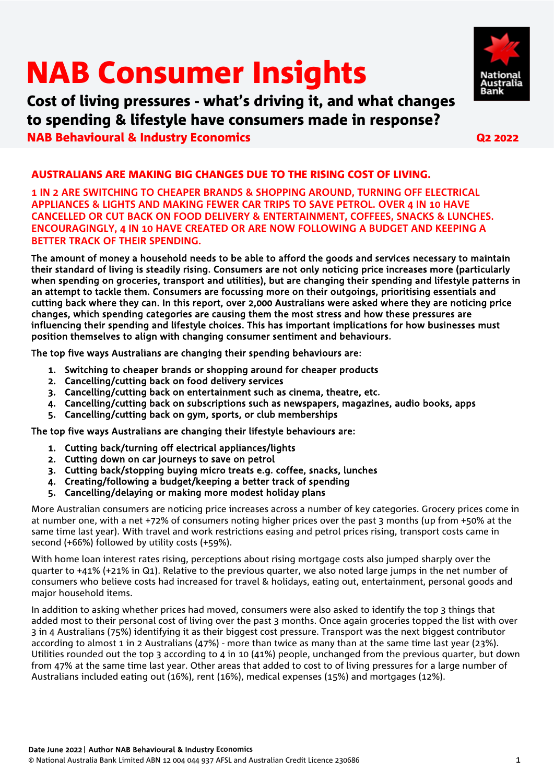# NAB Consumer Insights

 Cost of living pressures - what's driving it, and what changes NAB Behavioural & Industry Economics Q2 2022 to spending & lifestyle have consumers made in response?



#### AUSTRALIANS ARE MAKING BIG CHANGES DUE TO THE RISING COST OF LIVING.

**1 IN 2 ARE SWITCHING TO CHEAPER BRANDS & SHOPPING AROUND, TURNING OFF ELECTRICAL APPLIANCES & LIGHTS AND MAKING FEWER CAR TRIPS TO SAVE PETROL. OVER 4 IN 10 HAVE CANCELLED OR CUT BACK ON FOOD DELIVERY & ENTERTAINMENT, COFFEES, SNACKS & LUNCHES. ENCOURAGINGLY, 4 IN 10 HAVE CREATED OR ARE NOW FOLLOWING A BUDGET AND KEEPING A BETTER TRACK OF THEIR SPENDING.** 

The amount of money a household needs to be able to afford the goods and services necessary to maintain their standard of living is steadily rising. Consumers are not only noticing price increases more (particularly when spending on groceries, transport and utilities), but are changing their spending and lifestyle patterns in an attempt to tackle them. Consumers are focussing more on their outgoings, prioritising essentials and cutting back where they can. In this report, over 2,000 Australians were asked where they are noticing price changes, which spending categories are causing them the most stress and how these pressures are influencing their spending and lifestyle choices. This has important implications for how businesses must position themselves to align with changing consumer sentiment and behaviours.

The top five ways Australians are changing their spending behaviours are:

- 1. Switching to cheaper brands or shopping around for cheaper products
- 2. Cancelling/cutting back on food delivery services
- 3. Cancelling/cutting back on entertainment such as cinema, theatre, etc.
- 4. Cancelling/cutting back on subscriptions such as newspapers, magazines, audio books, apps
- 5. Cancelling/cutting back on gym, sports, or club memberships

The top five ways Australians are changing their lifestyle behaviours are:

- 1. Cutting back/turning off electrical appliances/lights
- 2. Cutting down on car journeys to save on petrol
- 3. Cutting back/stopping buying micro treats e.g. coffee, snacks, lunches
- 4. Creating/following a budget/keeping a better track of spending
- 5. Cancelling/delaying or making more modest holiday plans

More Australian consumers are noticing price increases across a number of key categories. Grocery prices come in at number one, with a net +72% of consumers noting higher prices over the past 3 months (up from +50% at the same time last year). With travel and work restrictions easing and petrol prices rising, transport costs came in second (+66%) followed by utility costs (+59%).

With home loan interest rates rising, perceptions about rising mortgage costs also jumped sharply over the quarter to +41% (+21% in Q1). Relative to the previous quarter, we also noted large jumps in the net number of consumers who believe costs had increased for travel & holidays, eating out, entertainment, personal goods and major household items.

In addition to asking whether prices had moved, consumers were also asked to identify the top 3 things that added most to their personal cost of living over the past 3 months. Once again groceries topped the list with over 3 in 4 Australians (75%) identifying it as their biggest cost pressure. Transport was the next biggest contributor according to almost 1 in 2 Australians (47%) - more than twice as many than at the same time last year (23%). Utilities rounded out the top 3 according to 4 in 10 (41%) people, unchanged from the previous quarter, but down from 47% at the same time last year. Other areas that added to cost to of living pressures for a large number of Australians included eating out (16%), rent (16%), medical expenses (15%) and mortgages (12%).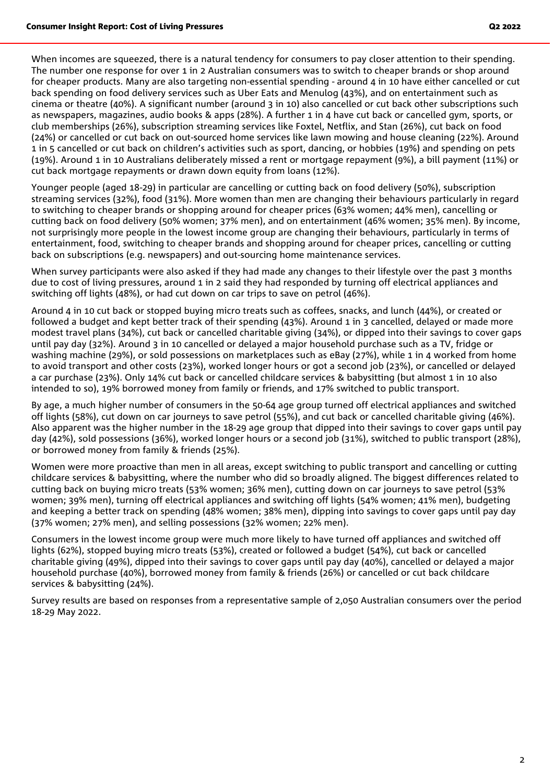When incomes are squeezed, there is a natural tendency for consumers to pay closer attention to their spending. The number one response for over 1 in 2 Australian consumers was to switch to cheaper brands or shop around for cheaper products. Many are also targeting non-essential spending - around 4 in 10 have either cancelled or cut back spending on food delivery services such as Uber Eats and Menulog (43%), and on entertainment such as cinema or theatre (40%). A significant number (around 3 in 10) also cancelled or cut back other subscriptions such as newspapers, magazines, audio books & apps (28%). A further 1 in 4 have cut back or cancelled gym, sports, or club memberships (26%), subscription streaming services like Foxtel, Netflix, and Stan (26%), cut back on food (24%) or cancelled or cut back on out-sourced home services like lawn mowing and house cleaning (22%). Around 1 in 5 cancelled or cut back on children's activities such as sport, dancing, or hobbies (19%) and spending on pets (19%). Around 1 in 10 Australians deliberately missed a rent or mortgage repayment (9%), a bill payment (11%) or cut back mortgage repayments or drawn down equity from loans (12%).

Younger people (aged 18-29) in particular are cancelling or cutting back on food delivery (50%), subscription streaming services (32%), food (31%). More women than men are changing their behaviours particularly in regard to switching to cheaper brands or shopping around for cheaper prices (63% women; 44% men), cancelling or cutting back on food delivery (50% women; 37% men), and on entertainment (46% women; 35% men). By income, not surprisingly more people in the lowest income group are changing their behaviours, particularly in terms of entertainment, food, switching to cheaper brands and shopping around for cheaper prices, cancelling or cutting back on subscriptions (e.g. newspapers) and out-sourcing home maintenance services.

When survey participants were also asked if they had made any changes to their lifestyle over the past 3 months due to cost of living pressures, around 1 in 2 said they had responded by turning off electrical appliances and switching off lights (48%), or had cut down on car trips to save on petrol (46%).

Around 4 in 10 cut back or stopped buying micro treats such as coffees, snacks, and lunch (44%), or created or followed a budget and kept better track of their spending (43%). Around 1 in 3 cancelled, delayed or made more modest travel plans (34%), cut back or cancelled charitable giving (34%), or dipped into their savings to cover gaps until pay day (32%). Around 3 in 10 cancelled or delayed a major household purchase such as a TV, fridge or washing machine (29%), or sold possessions on marketplaces such as eBay (27%), while 1 in 4 worked from home to avoid transport and other costs (23%), worked longer hours or got a second job (23%), or cancelled or delayed a car purchase (23%). Only 14% cut back or cancelled childcare services & babysitting (but almost 1 in 10 also intended to so), 19% borrowed money from family or friends, and 17% switched to public transport.

By age, a much higher number of consumers in the 50-64 age group turned off electrical appliances and switched off lights (58%), cut down on car journeys to save petrol (55%), and cut back or cancelled charitable giving (46%). Also apparent was the higher number in the 18-29 age group that dipped into their savings to cover gaps until pay day (42%), sold possessions (36%), worked longer hours or a second job (31%), switched to public transport (28%), or borrowed money from family & friends (25%).

Women were more proactive than men in all areas, except switching to public transport and cancelling or cutting childcare services & babysitting, where the number who did so broadly aligned. The biggest differences related to cutting back on buying micro treats (53% women; 36% men), cutting down on car journeys to save petrol (53% women; 39% men), turning off electrical appliances and switching off lights (54% women; 41% men), budgeting and keeping a better track on spending (48% women; 38% men), dipping into savings to cover gaps until pay day (37% women; 27% men), and selling possessions (32% women; 22% men).

Consumers in the lowest income group were much more likely to have turned off appliances and switched off lights (62%), stopped buying micro treats (53%), created or followed a budget (54%), cut back or cancelled charitable giving (49%), dipped into their savings to cover gaps until pay day (40%), cancelled or delayed a major household purchase (40%), borrowed money from family & friends (26%) or cancelled or cut back childcare services & babysitting (24%).

Survey results are based on responses from a representative sample of 2,050 Australian consumers over the period 18-29 May 2022.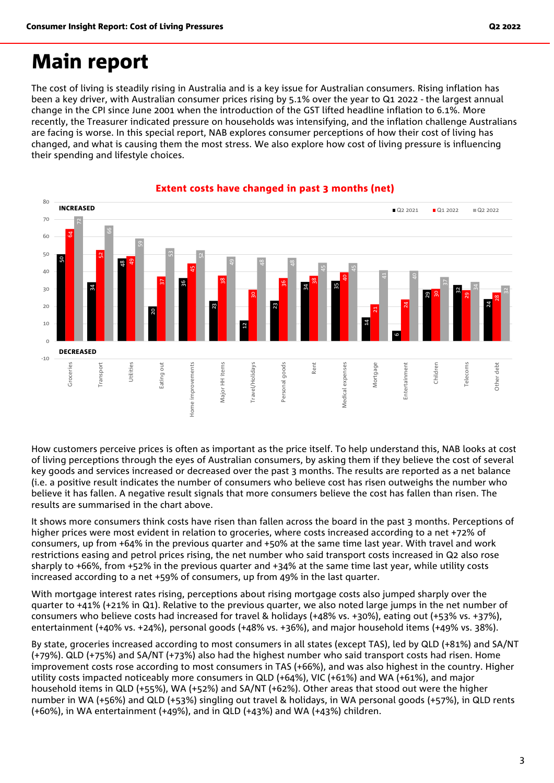## Main report

The cost of living is steadily rising in Australia and is a key issue for Australian consumers. Rising inflation has been a key driver, with Australian consumer prices rising by 5.1% over the year to Q1 2022 - the largest annual change in the CPI since June 2001 when the introduction of the GST lifted headline inflation to 6.1%. More recently, the Treasurer indicated pressure on households was intensifying, and the inflation challenge Australians are facing is worse. In this special report, NAB explores consumer perceptions of how their cost of living has changed, and what is causing them the most stress. We also explore how cost of living pressure is influencing their spending and lifestyle choices.



#### Extent costs have changed in past 3 months (net)

How customers perceive prices is often as important as the price itself. To help understand this, NAB looks at cost of living perceptions through the eyes of Australian consumers, by asking them if they believe the cost of several key goods and services increased or decreased over the past 3 months. The results are reported as a net balance (i.e. a positive result indicates the number of consumers who believe cost has risen outweighs the number who believe it has fallen. A negative result signals that more consumers believe the cost has fallen than risen. The results are summarised in the chart above.

It shows more consumers think costs have risen than fallen across the board in the past 3 months. Perceptions of higher prices were most evident in relation to groceries, where costs increased according to a net +72% of consumers, up from +64% in the previous quarter and +50% at the same time last year. With travel and work restrictions easing and petrol prices rising, the net number who said transport costs increased in Q2 also rose sharply to +66%, from +52% in the previous quarter and +34% at the same time last year, while utility costs increased according to a net +59% of consumers, up from 49% in the last quarter.

With mortgage interest rates rising, perceptions about rising mortgage costs also jumped sharply over the quarter to +41% (+21% in Q1). Relative to the previous quarter, we also noted large jumps in the net number of consumers who believe costs had increased for travel & holidays (+48% vs. +30%), eating out (+53% vs. +37%), entertainment (+40% vs. +24%), personal goods (+48% vs. +36%), and major household items (+49% vs. 38%).

By state, groceries increased according to most consumers in all states (except TAS), led by QLD (+81%) and SA/NT (+79%). QLD (+75%) and SA/NT (+73%) also had the highest number who said transport costs had risen. Home improvement costs rose according to most consumers in TAS (+66%), and was also highest in the country. Higher utility costs impacted noticeably more consumers in QLD (+64%), VIC (+61%) and WA (+61%), and major household items in QLD (+55%), WA (+52%) and SA/NT (+62%). Other areas that stood out were the higher number in WA (+56%) and QLD (+53%) singling out travel & holidays, in WA personal goods (+57%), in QLD rents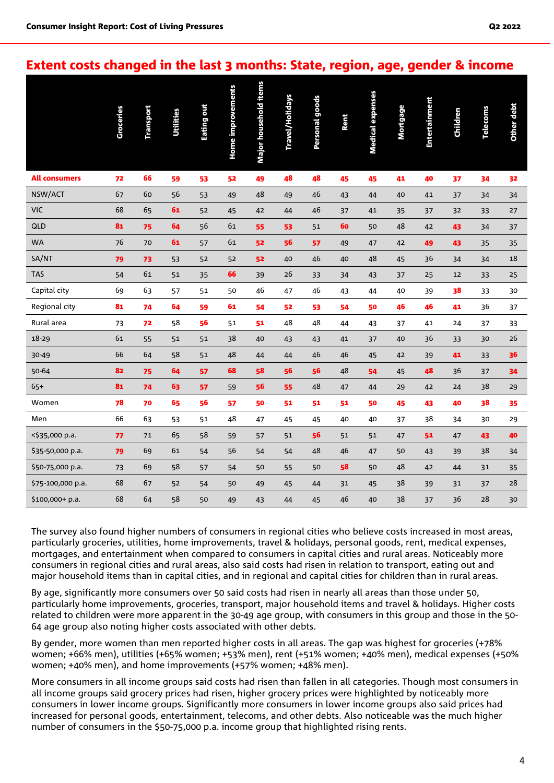#### Extent costs changed in the last 3 months: State, region, age, gender & income

|                      | Groceries | <b>Transport</b> | <b>Utilities</b> | Eating out | <b>Home improvements</b> | Major household items | Travel/Holidays | <b>Personal goods</b> | Rent | <b>Medical expenses</b> | <b>Mortgage</b> | Entertainment | Children | <b>Telecoms</b> | Other debt |
|----------------------|-----------|------------------|------------------|------------|--------------------------|-----------------------|-----------------|-----------------------|------|-------------------------|-----------------|---------------|----------|-----------------|------------|
| <b>All consumers</b> | 72        | 66               | 59               | 53         | 52                       | 49                    | 48              | 48                    | 45   | 45                      | 41              | 40            | 37       | 34              | 32         |
| NSW/ACT              | 67        | 60               | 56               | 53         | 49                       | 48                    | 49              | 46                    | 43   | 44                      | 40              | 41            | 37       | 34              | 34         |
| <b>VIC</b>           | 68        | 65               | 61               | 52         | 45                       | 42                    | 44              | 46                    | 37   | 41                      | 35              | 37            | 32       | 33              | 27         |
| QLD                  | 81        | 75               | 64               | 56         | 61                       | 55                    | 53              | 51                    | 60   | 50                      | 48              | 42            | 43       | 34              | 37         |
| <b>WA</b>            | 76        | 70               | 61               | 57         | 61                       | 52                    | 56              | 57                    | 49   | 47                      | 42              | 49            | 43       | 35              | 35         |
| SA/NT                | 79        | 73               | 53               | 52         | 52                       | 52                    | 40              | 46                    | 40   | 48                      | 45              | 36            | 34       | 34              | 18         |
| <b>TAS</b>           | 54        | 61               | 51               | 35         | 66                       | 39                    | 26              | 33                    | 34   | 43                      | 37              | 25            | 12       | 33              | 25         |
| Capital city         | 69        | 63               | 57               | 51         | 50                       | 46                    | 47              | 46                    | 43   | 44                      | 40              | 39            | 38       | 33              | 30         |
| Regional city        | 81        | 74               | 64               | 59         | 61                       | 54                    | 52              | 53                    | 54   | 50                      | 46              | 46            | 41       | 36              | 37         |
| Rural area           | 73        | 72               | 58               | 56         | 51                       | 51                    | 48              | 48                    | 44   | 43                      | 37              | 41            | 24       | 37              | 33         |
| 18-29                | 61        | 55               | 51               | 51         | 38                       | 40                    | 43              | 43                    | 41   | 37                      | 40              | 36            | 33       | 30              | 26         |
| 30-49                | 66        | 64               | 58               | 51         | 48                       | 44                    | 44              | 46                    | 46   | 45                      | 42              | 39            | 41       | 33              | 36         |
| 50-64                | 82        | 75               | 64               | 57         | 68                       | 58                    | 56              | 56                    | 48   | 54                      | 45              | 48            | 36       | 37              | 34         |
| $65+$                | 81        | 74               | 63               | 57         | 59                       | 56                    | 55              | 48                    | 47   | 44                      | 29              | 42            | 24       | 38              | 29         |
| Women                | 78        | 70               | 65               | 56         | 57                       | 50                    | 51              | 51                    | 51   | 50                      | 45              | 43            | 40       | 38              | 35         |
| Men                  | 66        | 63               | 53               | 51         | 48                       | 47                    | 45              | 45                    | 40   | 40                      | 37              | 38            | 34       | 30              | 29         |
| <\$35,000 p.a.       | 77        | 71               | 65               | 58         | 59                       | 57                    | 51              | 56                    | 51   | 51                      | 47              | 51            | 47       | 43              | 40         |
| \$35-50,000 p.a.     | 79        | 69               | 61               | 54         | 56                       | 54                    | 54              | 48                    | 46   | 47                      | 50              | 43            | 39       | 38              | 34         |
| \$50-75,000 p.a.     | 73        | 69               | 58               | 57         | 54                       | 50                    | 55              | 50                    | 58   | 50                      | 48              | 42            | 44       | 31              | 35         |
| \$75-100,000 p.a.    | 68        | 67               | 52               | 54         | 50                       | 49                    | 45              | 44                    | 31   | 45                      | 38              | 39            | 31       | 37              | 28         |
| $$100,000+p.a.$      | 68        | 64               | 58               | 50         | 49                       | 43                    | 44              | 45                    | 46   | 40                      | 38              | 37            | 36       | 28              | 30         |

The survey also found higher numbers of consumers in regional cities who believe costs increased in most areas, particularly groceries, utilities, home improvements, travel & holidays, personal goods, rent, medical expenses, mortgages, and entertainment when compared to consumers in capital cities and rural areas. Noticeably more consumers in regional cities and rural areas, also said costs had risen in relation to transport, eating out and major household items than in capital cities, and in regional and capital cities for children than in rural areas.

By age, significantly more consumers over 50 said costs had risen in nearly all areas than those under 50, particularly home improvements, groceries, transport, major household items and travel & holidays. Higher costs related to children were more apparent in the 30-49 age group, with consumers in this group and those in the 50- 64 age group also noting higher costs associated with other debts.

By gender, more women than men reported higher costs in all areas. The gap was highest for groceries (+78% women; +66% men), utilities (+65% women; +53% men), rent (+51% women; +40% men), medical expenses (+50% women; +40% men), and home improvements (+57% women; +48% men).

More consumers in all income groups said costs had risen than fallen in all categories. Though most consumers in all income groups said grocery prices had risen, higher grocery prices were highlighted by noticeably more consumers in lower income groups. Significantly more consumers in lower income groups also said prices had increased for personal goods, entertainment, telecoms, and other debts. Also noticeable was the much higher number of consumers in the \$50-75,000 p.a. income group that highlighted rising rents.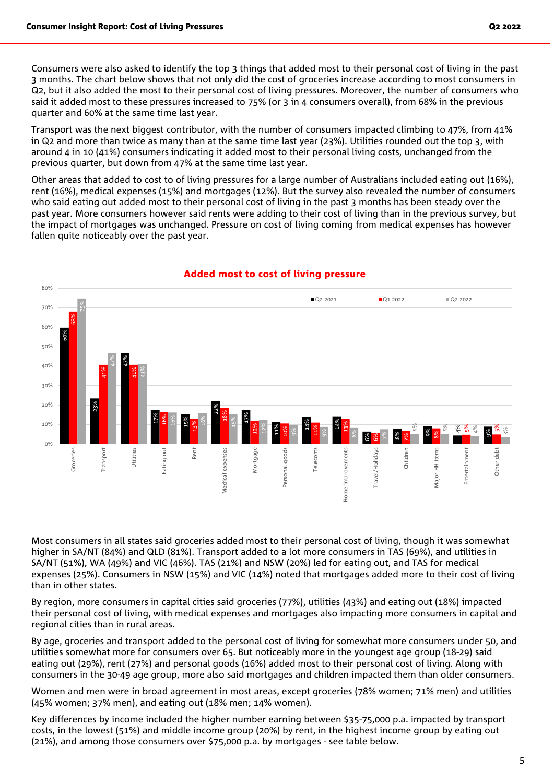Consumers were also asked to identify the top 3 things that added most to their personal cost of living in the past 3 months. The chart below shows that not only did the cost of groceries increase according to most consumers in Q2, but it also added the most to their personal cost of living pressures. Moreover, the number of consumers who said it added most to these pressures increased to 75% (or 3 in 4 consumers overall), from 68% in the previous quarter and 60% at the same time last year.

Transport was the next biggest contributor, with the number of consumers impacted climbing to 47%, from 41% in Q2 and more than twice as many than at the same time last year (23%). Utilities rounded out the top 3, with around 4 in 10 (41%) consumers indicating it added most to their personal living costs, unchanged from the previous quarter, but down from 47% at the same time last year.

Other areas that added to cost to of living pressures for a large number of Australians included eating out (16%), rent (16%), medical expenses (15%) and mortgages (12%). But the survey also revealed the number of consumers who said eating out added most to their personal cost of living in the past 3 months has been steady over the past year. More consumers however said rents were adding to their cost of living than in the previous survey, but the impact of mortgages was unchanged. Pressure on cost of living coming from medical expenses has however fallen quite noticeably over the past year.



#### Added most to cost of living pressure

Most consumers in all states said groceries added most to their personal cost of living, though it was somewhat higher in SA/NT (84%) and QLD (81%). Transport added to a lot more consumers in TAS (69%), and utilities in SA/NT (51%), WA (49%) and VIC (46%). TAS (21%) and NSW (20%) led for eating out, and TAS for medical expenses (25%). Consumers in NSW (15%) and VIC (14%) noted that mortgages added more to their cost of living than in other states.

By region, more consumers in capital cities said groceries (77%), utilities (43%) and eating out (18%) impacted their personal cost of living, with medical expenses and mortgages also impacting more consumers in capital and regional cities than in rural areas.

By age, groceries and transport added to the personal cost of living for somewhat more consumers under 50, and utilities somewhat more for consumers over 65. But noticeably more in the youngest age group (18-29) said eating out (29%), rent (27%) and personal goods (16%) added most to their personal cost of living. Along with consumers in the 30-49 age group, more also said mortgages and children impacted them than older consumers.

Women and men were in broad agreement in most areas, except groceries (78% women; 71% men) and utilities (45% women; 37% men), and eating out (18% men; 14% women).

Key differences by income included the higher number earning between \$35-75,000 p.a. impacted by transport costs, in the lowest (51%) and middle income group (20%) by rent, in the highest income group by eating out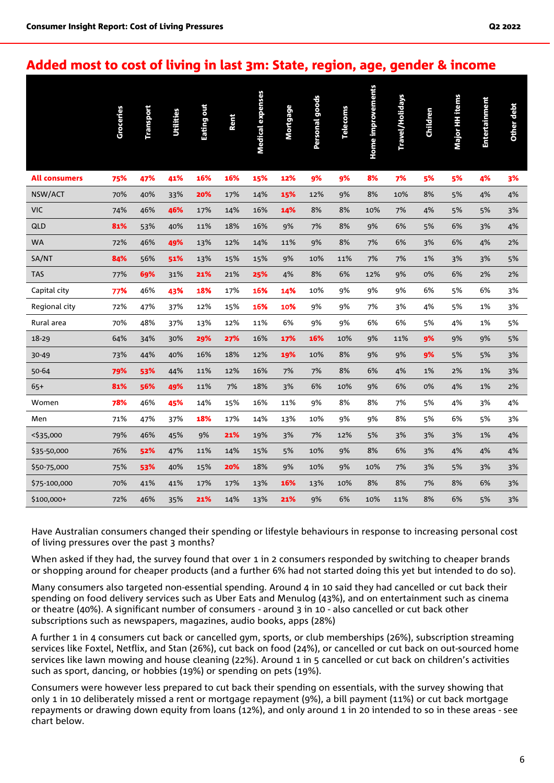#### Added most to cost of living in last 3m: State, region, age, gender & income

|                      | Groceries | Transport | <b>Utilities</b> | Eating out | Rent | <b>Medical expenses</b> | Mortgage | <b>Personal goods</b> | <b>Telecoms</b> | Home improvements | Travel/Holidays | <b>Children</b> | Major HH items | Entertainment | Other debt |
|----------------------|-----------|-----------|------------------|------------|------|-------------------------|----------|-----------------------|-----------------|-------------------|-----------------|-----------------|----------------|---------------|------------|
| <b>All consumers</b> | 75%       | 47%       | 41%              | 16%        | 16%  | 15%                     | 12%      | 9%                    | 9%              | 8%                | 7%              | 5%              | 5%             | 4%            | 3%         |
| NSW/ACT              | 70%       | 40%       | 33%              | 20%        | 17%  | 14%                     | 15%      | 12%                   | 9%              | 8%                | 10%             | 8%              | 5%             | 4%            | 4%         |
| <b>VIC</b>           | 74%       | 46%       | 46%              | 17%        | 14%  | 16%                     | 14%      | 8%                    | 8%              | 10%               | 7%              | 4%              | 5%             | 5%            | 3%         |
| QLD                  | 81%       | 53%       | 40%              | 11%        | 18%  | 16%                     | 9%       | 7%                    | 8%              | 9%                | 6%              | 5%              | 6%             | 3%            | 4%         |
| <b>WA</b>            | 72%       | 46%       | 49%              | 13%        | 12%  | 14%                     | 11%      | 9%                    | 8%              | 7%                | 6%              | 3%              | 6%             | 4%            | 2%         |
| SA/NT                | 84%       | 56%       | 51%              | 13%        | 15%  | 15%                     | 9%       | 10%                   | 11%             | 7%                | 7%              | 1%              | 3%             | 3%            | 5%         |
| <b>TAS</b>           | 77%       | 69%       | 31%              | 21%        | 21%  | 25%                     | 4%       | 8%                    | 6%              | 12%               | 9%              | 0%              | 6%             | 2%            | 2%         |
| Capital city         | 77%       | 46%       | 43%              | 18%        | 17%  | 16%                     | 14%      | 10%                   | 9%              | 9%                | 9%              | 6%              | 5%             | 6%            | 3%         |
| Regional city        | 72%       | 47%       | 37%              | 12%        | 15%  | 16%                     | 10%      | 9%                    | 9%              | 7%                | 3%              | 4%              | 5%             | 1%            | 3%         |
| Rural area           | 70%       | 48%       | 37%              | 13%        | 12%  | 11%                     | 6%       | 9%                    | 9%              | 6%                | 6%              | 5%              | 4%             | 1%            | 5%         |
| 18-29                | 64%       | 34%       | 30%              | 29%        | 27%  | 16%                     | 17%      | 16%                   | 10%             | 9%                | 11%             | 9%              | 9%             | 9%            | 5%         |
| 30-49                | 73%       | 44%       | 40%              | 16%        | 18%  | 12%                     | 19%      | 10%                   | 8%              | 9%                | 9%              | 9%              | 5%             | 5%            | 3%         |
| 50-64                | 79%       | 53%       | 44%              | 11%        | 12%  | 16%                     | 7%       | 7%                    | 8%              | 6%                | 4%              | 1%              | 2%             | 1%            | 3%         |
| $65+$                | 81%       | 56%       | 49%              | 11%        | 7%   | 18%                     | 3%       | 6%                    | 10%             | 9%                | 6%              | 0%              | 4%             | $1\%$         | 2%         |
| Women                | 78%       | 46%       | 45%              | 14%        | 15%  | 16%                     | 11%      | 9%                    | 8%              | 8%                | 7%              | 5%              | 4%             | 3%            | 4%         |
| Men                  | 71%       | 47%       | 37%              | 18%        | 17%  | 14%                     | 13%      | 10%                   | 9%              | 9%                | 8%              | 5%              | 6%             | 5%            | 3%         |
| <\$35,000            | 79%       | 46%       | 45%              | 9%         | 21%  | 19%                     | 3%       | 7%                    | 12%             | 5%                | 3%              | 3%              | 3%             | 1%            | 4%         |
| \$35-50,000          | 76%       | 52%       | 47%              | 11%        | 14%  | 15%                     | 5%       | 10%                   | 9%              | 8%                | 6%              | 3%              | 4%             | 4%            | 4%         |
| \$50-75,000          | 75%       | 53%       | 40%              | 15%        | 20%  | 18%                     | 9%       | 10%                   | 9%              | 10%               | 7%              | 3%              | 5%             | 3%            | 3%         |
| \$75-100,000         | 70%       | 41%       | 41%              | 17%        | 17%  | 13%                     | 16%      | 13%                   | 10%             | 8%                | 8%              | 7%              | 8%             | 6%            | 3%         |
| \$100,000+           | 72%       | 46%       | 35%              | 21%        | 14%  | 13%                     | 21%      | 9%                    | 6%              | 10%               | 11%             | 8%              | 6%             | 5%            | 3%         |

Have Australian consumers changed their spending or lifestyle behaviours in response to increasing personal cost of living pressures over the past 3 months?

When asked if they had, the survey found that over 1 in 2 consumers responded by switching to cheaper brands or shopping around for cheaper products (and a further 6% had not started doing this yet but intended to do so).

Many consumers also targeted non-essential spending. Around 4 in 10 said they had cancelled or cut back their spending on food delivery services such as Uber Eats and Menulog (43%), and on entertainment such as cinema or theatre (40%). A significant number of consumers - around 3 in 10 - also cancelled or cut back other subscriptions such as newspapers, magazines, audio books, apps (28%)

A further 1 in 4 consumers cut back or cancelled gym, sports, or club memberships (26%), subscription streaming services like Foxtel, Netflix, and Stan (26%), cut back on food (24%), or cancelled or cut back on out-sourced home services like lawn mowing and house cleaning (22%). Around 1 in 5 cancelled or cut back on children's activities such as sport, dancing, or hobbies (19%) or spending on pets (19%).

Consumers were however less prepared to cut back their spending on essentials, with the survey showing that only 1 in 10 deliberately missed a rent or mortgage repayment (9%), a bill payment (11%) or cut back mortgage repayments or drawing down equity from loans (12%), and only around 1 in 20 intended to so in these areas - see chart below.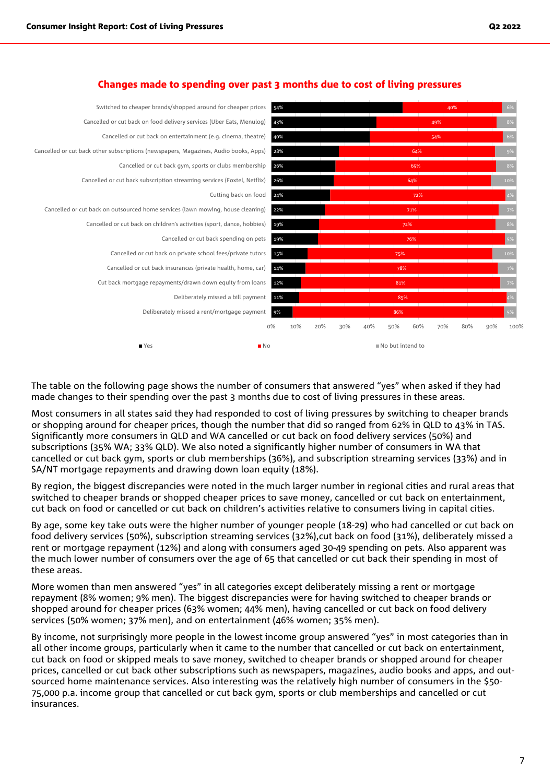

#### Changes made to spending over past 3 months due to cost of living pressures

The table on the following page shows the number of consumers that answered "yes" when asked if they had made changes to their spending over the past 3 months due to cost of living pressures in these areas.

Most consumers in all states said they had responded to cost of living pressures by switching to cheaper brands or shopping around for cheaper prices, though the number that did so ranged from 62% in QLD to 43% in TAS. Significantly more consumers in QLD and WA cancelled or cut back on food delivery services (50%) and subscriptions (35% WA; 33% QLD). We also noted a significantly higher number of consumers in WA that cancelled or cut back gym, sports or club memberships (36%), and subscription streaming services (33%) and in SA/NT mortgage repayments and drawing down loan equity (18%).

By region, the biggest discrepancies were noted in the much larger number in regional cities and rural areas that switched to cheaper brands or shopped cheaper prices to save money, cancelled or cut back on entertainment, cut back on food or cancelled or cut back on children's activities relative to consumers living in capital cities.

By age, some key take outs were the higher number of younger people (18-29) who had cancelled or cut back on food delivery services (50%), subscription streaming services (32%),cut back on food (31%), deliberately missed a rent or mortgage repayment (12%) and along with consumers aged 30-49 spending on pets. Also apparent was the much lower number of consumers over the age of 65 that cancelled or cut back their spending in most of these areas.

More women than men answered "yes" in all categories except deliberately missing a rent or mortgage repayment (8% women; 9% men). The biggest discrepancies were for having switched to cheaper brands or shopped around for cheaper prices (63% women; 44% men), having cancelled or cut back on food delivery services (50% women; 37% men), and on entertainment (46% women; 35% men).

By income, not surprisingly more people in the lowest income group answered "yes" in most categories than in all other income groups, particularly when it came to the number that cancelled or cut back on entertainment, cut back on food or skipped meals to save money, switched to cheaper brands or shopped around for cheaper prices, cancelled or cut back other subscriptions such as newspapers, magazines, audio books and apps, and outsourced home maintenance services. Also interesting was the relatively high number of consumers in the \$50- 75,000 p.a. income group that cancelled or cut back gym, sports or club memberships and cancelled or cut insurances.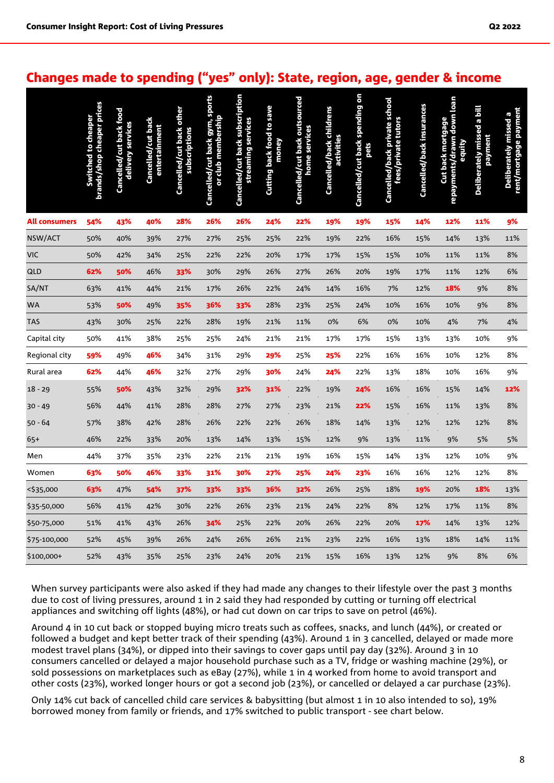#### Changes made to spending ("yes" only): State, region, age, gender & income

|                      | brands/shop cheaper prices<br>Switched to cheaper | Cancelled/cut back food<br>delivery services | Cancelled/cut back<br>entertainment | Cancelled/cut back other<br>subscriptions | Cancelled/cut back gym, sports<br>or club membership | Cancelled/cut back subscription<br>streaming services | <b>Cutting back food to save</b><br>money | Cancelled/cut back outsourced<br>home services | Cancelled/back childrens<br>activities | Cancelled/cut back spending on<br>pets | Cancelled/back private school<br>fees/private tutors | Cancelled/back insurances | repayments/drawn down loan<br>Cut back mortgage<br>equity | Deliberately missed a bill<br>payment | rent/mortgage payment<br>Deliberately missed a |
|----------------------|---------------------------------------------------|----------------------------------------------|-------------------------------------|-------------------------------------------|------------------------------------------------------|-------------------------------------------------------|-------------------------------------------|------------------------------------------------|----------------------------------------|----------------------------------------|------------------------------------------------------|---------------------------|-----------------------------------------------------------|---------------------------------------|------------------------------------------------|
| <b>All consumers</b> | 54%                                               | 43%                                          | 40%                                 | 28%                                       | 26%                                                  | 26%                                                   | 24%                                       | 22%                                            | 19%                                    | 19%                                    | 15%                                                  | 14%                       | 12%                                                       | 11%                                   | 9%                                             |
| NSW/ACT              | 50%                                               | 40%                                          | 39%                                 | 27%                                       | 27%                                                  | 25%                                                   | 25%                                       | 22%                                            | 19%                                    | 22%                                    | 16%                                                  | 15%                       | 14%                                                       | 13%                                   | 11%                                            |
| <b>VIC</b>           | 50%                                               | 42%                                          | 34%                                 | 25%                                       | 22%                                                  | 22%                                                   | 20%                                       | 17%                                            | 17%                                    | 15%                                    | 15%                                                  | 10%                       | 11%                                                       | 11%                                   | 8%                                             |
| QLD                  | 62%                                               | 50%                                          | 46%                                 | 33%                                       | 30%                                                  | 29%                                                   | 26%                                       | 27%                                            | 26%                                    | 20%                                    | 19%                                                  | 17%                       | 11%                                                       | 12%                                   | 6%                                             |
| SA/NT                | 63%                                               | 41%                                          | 44%                                 | 21%                                       | 17%                                                  | 26%                                                   | 22%                                       | 24%                                            | 14%                                    | 16%                                    | 7%                                                   | 12%                       | 18%                                                       | 9%                                    | 8%                                             |
| <b>WA</b>            | 53%                                               | 50%                                          | 49%                                 | 35%                                       | 36%                                                  | 33%                                                   | 28%                                       | 23%                                            | 25%                                    | 24%                                    | 10%                                                  | 16%                       | 10%                                                       | 9%                                    | 8%                                             |
| <b>TAS</b>           | 43%                                               | 30%                                          | 25%                                 | 22%                                       | 28%                                                  | 19%                                                   | 21%                                       | 11%                                            | 0%                                     | 6%                                     | 0%                                                   | 10%                       | 4%                                                        | 7%                                    | 4%                                             |
| Capital city         | 50%                                               | 41%                                          | 38%                                 | 25%                                       | 25%                                                  | 24%                                                   | 21%                                       | 21%                                            | 17%                                    | 17%                                    | 15%                                                  | 13%                       | 13%                                                       | 10%                                   | 9%                                             |
| Regional city        | 59%                                               | 49%                                          | 46%                                 | 34%                                       | 31%                                                  | 29%                                                   | 29%                                       | 25%                                            | 25%                                    | 22%                                    | 16%                                                  | 16%                       | 10%                                                       | 12%                                   | 8%                                             |
| Rural area           | 62%                                               | 44%                                          | 46%                                 | 32%                                       | 27%                                                  | 29%                                                   | 30%                                       | 24%                                            | 24%                                    | 22%                                    | 13%                                                  | 18%                       | 10%                                                       | 16%                                   | 9%                                             |
| $18 - 29$            | 55%                                               | 50%                                          | 43%                                 | 32%                                       | 29%                                                  | 32%                                                   | 31%                                       | 22%                                            | 19%                                    | 24%                                    | 16%                                                  | 16%                       | 15%                                                       | 14%                                   | 12%                                            |
| $30 - 49$            | 56%                                               | 44%                                          | 41%                                 | 28%                                       | 28%                                                  | 27%                                                   | 27%                                       | 23%                                            | 21%                                    | 22%                                    | 15%                                                  | 16%                       | 11%                                                       | 13%                                   | 8%                                             |
| 50 - 64              | 57%                                               | 38%                                          | 42%                                 | 28%                                       | 26%                                                  | 22%                                                   | 22%                                       | 26%                                            | 18%                                    | 14%                                    | 13%                                                  | 12%                       | 12%                                                       | 12%                                   | 8%                                             |
| 65+                  | 46%                                               | 22%                                          | 33%                                 | 20%                                       | 13%                                                  | 14%                                                   | 13%                                       | 15%                                            | 12%                                    | 9%                                     | 13%                                                  | 11%                       | 9%                                                        | 5%                                    | 5%                                             |
| Men                  | 44%                                               | 37%                                          | 35%                                 | 23%                                       | 22%                                                  | 21%                                                   | 21%                                       | 19%                                            | 16%                                    | 15%                                    | 14%                                                  | 13%                       | 12%                                                       | 10%                                   | 9%                                             |
| Women                | 63%                                               | 50%                                          | 46%                                 | 33%                                       | 31%                                                  | 30%                                                   | 27%                                       | 25%                                            | 24%                                    | 23%                                    | 16%                                                  | 16%                       | 12%                                                       | 12%                                   | 8%                                             |
| <\$35,000            | 63%                                               | 47%                                          | 54%                                 | 37%                                       | 33%                                                  | 33%                                                   | 36%                                       | 32%                                            | 26%                                    | 25%                                    | 18%                                                  | 19%                       | 20%                                                       | 18%                                   | 13%                                            |
| \$35-50,000          | 56%                                               | 41%                                          | 42%                                 | 30%                                       | 22%                                                  | 26%                                                   | 23%                                       | 21%                                            | 24%                                    | 22%                                    | 8%                                                   | 12%                       | 17%                                                       | 11%                                   | 8%                                             |
| \$50-75,000          | 51%                                               | 41%                                          | 43%                                 | 26%                                       | 34%                                                  | 25%                                                   | 22%                                       | 20%                                            | 26%                                    | 22%                                    | 20%                                                  | 17%                       | 14%                                                       | 13%                                   | 12%                                            |
| \$75-100,000         | 52%                                               | 45%                                          | 39%                                 | 26%                                       | 24%                                                  | 26%                                                   | 26%                                       | 21%                                            | 23%                                    | 22%                                    | 16%                                                  | 13%                       | 18%                                                       | 14%                                   | 11%                                            |
| \$100,000+           | 52%                                               | 43%                                          | 35%                                 | 25%                                       | 23%                                                  | 24%                                                   | 20%                                       | 21%                                            | 15%                                    | 16%                                    | 13%                                                  | 12%                       | 9%                                                        | 8%                                    | 6%                                             |

When survey participants were also asked if they had made any changes to their lifestyle over the past 3 months due to cost of living pressures, around 1 in 2 said they had responded by cutting or turning off electrical appliances and switching off lights (48%), or had cut down on car trips to save on petrol (46%).

Around 4 in 10 cut back or stopped buying micro treats such as coffees, snacks, and lunch (44%), or created or followed a budget and kept better track of their spending (43%). Around 1 in 3 cancelled, delayed or made more modest travel plans (34%), or dipped into their savings to cover gaps until pay day (32%). Around 3 in 10 consumers cancelled or delayed a major household purchase such as a TV, fridge or washing machine (29%), or sold possessions on marketplaces such as eBay (27%), while 1 in 4 worked from home to avoid transport and other costs (23%), worked longer hours or got a second job (23%), or cancelled or delayed a car purchase (23%).

Only 14% cut back of cancelled child care services & babysitting (but almost 1 in 10 also intended to so), 19% borrowed money from family or friends, and 17% switched to public transport - see chart below.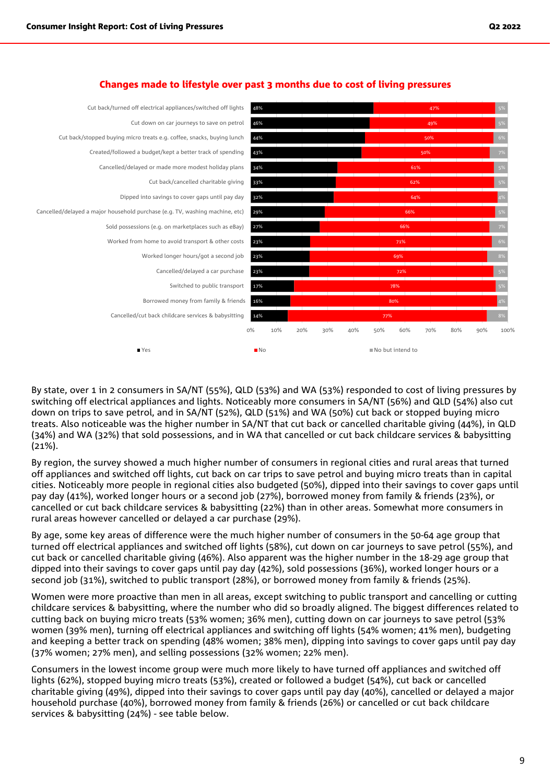

#### Changes made to lifestyle over past 3 months due to cost of living pressures

By state, over 1 in 2 consumers in SA/NT (55%), QLD (53%) and WA (53%) responded to cost of living pressures by switching off electrical appliances and lights. Noticeably more consumers in SA/NT (56%) and QLD (54%) also cut down on trips to save petrol, and in SA/NT (52%), QLD (51%) and WA (50%) cut back or stopped buying micro treats. Also noticeable was the higher number in SA/NT that cut back or cancelled charitable giving (44%), in QLD (34%) and WA (32%) that sold possessions, and in WA that cancelled or cut back childcare services & babysitting (21%).

By region, the survey showed a much higher number of consumers in regional cities and rural areas that turned off appliances and switched off lights, cut back on car trips to save petrol and buying micro treats than in capital cities. Noticeably more people in regional cities also budgeted (50%), dipped into their savings to cover gaps until pay day (41%), worked longer hours or a second job (27%), borrowed money from family & friends (23%), or cancelled or cut back childcare services & babysitting (22%) than in other areas. Somewhat more consumers in rural areas however cancelled or delayed a car purchase (29%).

By age, some key areas of difference were the much higher number of consumers in the 50-64 age group that turned off electrical appliances and switched off lights (58%), cut down on car journeys to save petrol (55%), and cut back or cancelled charitable giving (46%). Also apparent was the higher number in the 18-29 age group that dipped into their savings to cover gaps until pay day (42%), sold possessions (36%), worked longer hours or a second job (31%), switched to public transport (28%), or borrowed money from family & friends (25%).

Women were more proactive than men in all areas, except switching to public transport and cancelling or cutting childcare services & babysitting, where the number who did so broadly aligned. The biggest differences related to cutting back on buying micro treats (53% women; 36% men), cutting down on car journeys to save petrol (53% women (39% men), turning off electrical appliances and switching off lights (54% women; 41% men), budgeting and keeping a better track on spending (48% women; 38% men), dipping into savings to cover gaps until pay day (37% women; 27% men), and selling possessions (32% women; 22% men).

Consumers in the lowest income group were much more likely to have turned off appliances and switched off lights (62%), stopped buying micro treats (53%), created or followed a budget (54%), cut back or cancelled charitable giving (49%), dipped into their savings to cover gaps until pay day (40%), cancelled or delayed a major household purchase (40%), borrowed money from family & friends (26%) or cancelled or cut back childcare services & babysitting (24%) - see table below.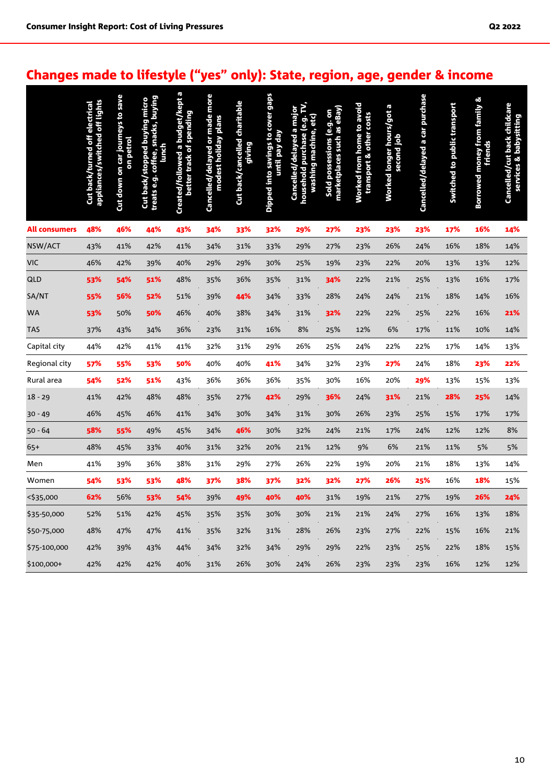### Changes made to lifestyle ("yes" only): State, region, age, gender & income

|                      | appliances/switched off lights<br>Cut back/turned off electrical | Cut down on car journeys to save<br>on petrol | treats e.g. coffee, snacks, buying<br>Cut back/stopped buying micro<br>lunch | Created/followed a budget/kept a<br>better track of spending | Cancelled/delayed or made more<br>modest holiday plans | Cut back/cancelled charitable<br>giving | Dipped into savings to cover gaps<br>until pay day | household purchase (e.g. TV,<br>Cancelled/delayed a major<br>washing machine, etc) | marketplaces such as eBay)<br>Sold possessions (e.g. on | Worked from home to avoid<br>transport & other costs | Worked longer hours/got a<br>second job | Cancelled/delayed a car purchase | Switched to public transport | Borrowed money from family &<br>friends | Cancelled/cut back childcare<br>services & babysitting |
|----------------------|------------------------------------------------------------------|-----------------------------------------------|------------------------------------------------------------------------------|--------------------------------------------------------------|--------------------------------------------------------|-----------------------------------------|----------------------------------------------------|------------------------------------------------------------------------------------|---------------------------------------------------------|------------------------------------------------------|-----------------------------------------|----------------------------------|------------------------------|-----------------------------------------|--------------------------------------------------------|
| <b>All consumers</b> | 48%                                                              | 46%                                           | 44%                                                                          | 43%                                                          | 34%                                                    | 33%                                     | 32%                                                | 29%                                                                                | 27%                                                     | 23%                                                  | 23%                                     | 23%                              | 17%                          | 16%                                     | 14%                                                    |
| NSW/ACT              | 43%                                                              | 41%                                           | 42%                                                                          | 41%                                                          | 34%                                                    | 31%                                     | 33%                                                | 29%                                                                                | 27%                                                     | 23%                                                  | 26%                                     | 24%                              | 16%                          | 18%                                     | 14%                                                    |
| <b>VIC</b>           | 46%                                                              | 42%                                           | 39%                                                                          | 40%                                                          | 29%                                                    | 29%                                     | 30%                                                | 25%                                                                                | 19%                                                     | 23%                                                  | 22%                                     | 20%                              | 13%                          | 13%                                     | 12%                                                    |
| QLD                  | 53%                                                              | 54%                                           | 51%                                                                          | 48%                                                          | 35%                                                    | 36%                                     | 35%                                                | 31%                                                                                | 34%                                                     | 22%                                                  | 21%                                     | 25%                              | 13%                          | 16%                                     | 17%                                                    |
| SA/NT                | 55%                                                              | 56%                                           | 52%                                                                          | 51%                                                          | 39%                                                    | 44%                                     | 34%                                                | 33%                                                                                | 28%                                                     | 24%                                                  | 24%                                     | 21%                              | 18%                          | 14%                                     | 16%                                                    |
| <b>WA</b>            | 53%                                                              | 50%                                           | 50%                                                                          | 46%                                                          | 40%                                                    | 38%                                     | 34%                                                | 31%                                                                                | 32%                                                     | 22%                                                  | 22%                                     | 25%                              | 22%                          | 16%                                     | 21%                                                    |
| <b>TAS</b>           | 37%                                                              | 43%                                           | 34%                                                                          | 36%                                                          | 23%                                                    | 31%                                     | 16%                                                | 8%                                                                                 | 25%                                                     | 12%                                                  | 6%                                      | 17%                              | 11%                          | 10%                                     | 14%                                                    |
| Capital city         | 44%                                                              | 42%                                           | 41%                                                                          | 41%                                                          | 32%                                                    | 31%                                     | 29%                                                | 26%                                                                                | 25%                                                     | 24%                                                  | 22%                                     | 22%                              | 17%                          | 14%                                     | 13%                                                    |
| Regional city        | 57%                                                              | 55%                                           | 53%                                                                          | 50%                                                          | 40%                                                    | 40%                                     | 41%                                                | 34%                                                                                | 32%                                                     | 23%                                                  | 27%                                     | 24%                              | 18%                          | 23%                                     | 22%                                                    |
| Rural area           | 54%                                                              | 52%                                           | 51%                                                                          | 43%                                                          | 36%                                                    | 36%                                     | 36%                                                | 35%                                                                                | 30%                                                     | 16%                                                  | 20%                                     | 29%                              | 13%                          | 15%                                     | 13%                                                    |
| $18 - 29$            | 41%                                                              | 42%                                           | 48%                                                                          | 48%                                                          | 35%                                                    | 27%                                     | 42%                                                | 29%                                                                                | 36%                                                     | 24%                                                  | 31%                                     | 21%                              | 28%                          | 25%                                     | 14%                                                    |
| $30 - 49$            | 46%                                                              | 45%                                           | 46%                                                                          | 41%                                                          | 34%                                                    | 30%                                     | 34%                                                | 31%                                                                                | 30%                                                     | 26%                                                  | 23%                                     | 25%                              | 15%                          | 17%                                     | 17%                                                    |
| $50 - 64$            | 58%                                                              | 55%                                           | 49%                                                                          | 45%                                                          | 34%                                                    | 46%                                     | 30%                                                | 32%                                                                                | 24%                                                     | 21%                                                  | 17%                                     | 24%                              | 12%                          | 12%                                     | 8%                                                     |
| 65+                  | 48%                                                              | 45%                                           | 33%                                                                          | 40%                                                          | 31%                                                    | 32%                                     | 20%                                                | 21%                                                                                | 12%                                                     | 9%                                                   | 6%                                      | 21%                              | 11%                          | 5%                                      | 5%                                                     |
| Men                  | 41%                                                              | 39%                                           | 36%                                                                          | 38%                                                          | 31%                                                    | 29%                                     | 27%                                                | 26%                                                                                | 22%                                                     | 19%                                                  | 20%                                     | 21%                              | 18%                          | 13%                                     | 14%                                                    |
| Women                | 54%                                                              | 53%                                           | 53%                                                                          | 48%                                                          | 37%                                                    | 38%                                     | 37%                                                | 32%                                                                                | 32%                                                     | 27%                                                  | 26%                                     | 25%                              | 16%                          | 18%                                     | 15%                                                    |
| <\$35,000            | 62%                                                              | 56%                                           | 53%                                                                          | 54%                                                          | 39%                                                    | 49%                                     | 40%                                                | 40%                                                                                | 31%                                                     | 19%                                                  | 21%                                     | 27%                              | 19%                          | 26%                                     | 24%                                                    |
| \$35-50,000          | 52%                                                              | 51%                                           | 42%                                                                          | 45%                                                          | 35%                                                    | 35%                                     | 30%                                                | 30%                                                                                | 21%                                                     | 21%                                                  | 24%                                     | 27%                              | 16%                          | 13%                                     | 18%                                                    |
| \$50-75,000          | 48%                                                              | 47%                                           | 47%                                                                          | 41%                                                          | 35%                                                    | 32%                                     | 31%                                                | 28%                                                                                | 26%                                                     | 23%                                                  | 27%                                     | 22%                              | 15%                          | 16%                                     | 21%                                                    |
| \$75-100,000         | 42%                                                              | 39%                                           | 43%                                                                          | 44%                                                          | 34%                                                    | 32%                                     | 34%                                                | 29%                                                                                | 29%                                                     | 22%                                                  | 23%                                     | 25%                              | 22%                          | 18%                                     | 15%                                                    |
| \$100,000+           | 42%                                                              | 42%                                           | 42%                                                                          | 40%                                                          | 31%                                                    | 26%                                     | 30%                                                | 24%                                                                                | 26%                                                     | 23%                                                  | 23%                                     | 23%                              | 16%                          | 12%                                     | 12%                                                    |